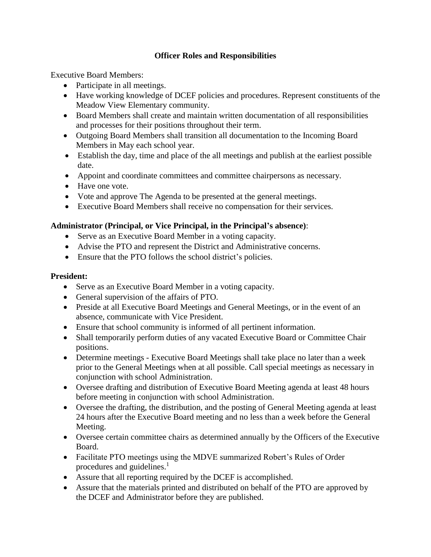# **Officer Roles and Responsibilities**

Executive Board Members:

- Participate in all meetings.
- Have working knowledge of DCEF policies and procedures. Represent constituents of the Meadow View Elementary community.
- Board Members shall create and maintain written documentation of all responsibilities and processes for their positions throughout their term.
- Outgoing Board Members shall transition all documentation to the Incoming Board Members in May each school year.
- Establish the day, time and place of the all meetings and publish at the earliest possible date.
- Appoint and coordinate committees and committee chairpersons as necessary.
- Have one vote.
- Vote and approve The Agenda to be presented at the general meetings.
- Executive Board Members shall receive no compensation for their services.

# **Administrator (Principal, or Vice Principal, in the Principal's absence)**:

- Serve as an Executive Board Member in a voting capacity.
- Advise the PTO and represent the District and Administrative concerns.
- Ensure that the PTO follows the school district's policies.

## **President:**

- Serve as an Executive Board Member in a voting capacity.
- General supervision of the affairs of PTO.
- Preside at all Executive Board Meetings and General Meetings, or in the event of an absence, communicate with Vice President.
- Ensure that school community is informed of all pertinent information.
- Shall temporarily perform duties of any vacated Executive Board or Committee Chair positions.
- Determine meetings Executive Board Meetings shall take place no later than a week prior to the General Meetings when at all possible. Call special meetings as necessary in conjunction with school Administration.
- Oversee drafting and distribution of Executive Board Meeting agenda at least 48 hours before meeting in conjunction with school Administration.
- Oversee the drafting, the distribution, and the posting of General Meeting agenda at least 24 hours after the Executive Board meeting and no less than a week before the General Meeting.
- Oversee certain committee chairs as determined annually by the Officers of the Executive Board.
- Facilitate PTO meetings using the MDVE summarized Robert's Rules of Order procedures and guidelines.<sup>1</sup>
- Assure that all reporting required by the DCEF is accomplished.
- Assure that the materials printed and distributed on behalf of the PTO are approved by the DCEF and Administrator before they are published.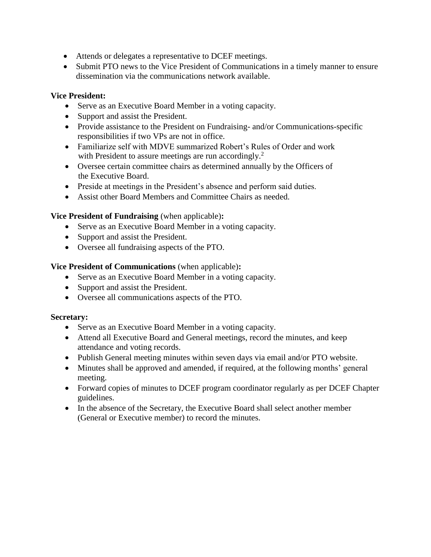- Attends or delegates a representative to DCEF meetings.
- Submit PTO news to the Vice President of Communications in a timely manner to ensure dissemination via the communications network available.

#### **Vice President:**

- Serve as an Executive Board Member in a voting capacity.
- Support and assist the President.
- Provide assistance to the President on Fundraising- and/or Communications-specific responsibilities if two VPs are not in office.
- Familiarize self with MDVE summarized Robert's Rules of Order and work with President to assure meetings are run accordingly.<sup>2</sup>
- Oversee certain committee chairs as determined annually by the Officers of the Executive Board.
- Preside at meetings in the President's absence and perform said duties.
- Assist other Board Members and Committee Chairs as needed.

#### **Vice President of Fundraising** (when applicable)**:**

- Serve as an Executive Board Member in a voting capacity.
- Support and assist the President.
- Oversee all fundraising aspects of the PTO.

#### **Vice President of Communications** (when applicable)**:**

- Serve as an Executive Board Member in a voting capacity.
- Support and assist the President.
- Oversee all communications aspects of the PTO.

#### **Secretary:**

- Serve as an Executive Board Member in a voting capacity.
- Attend all Executive Board and General meetings, record the minutes, and keep attendance and voting records.
- Publish General meeting minutes within seven days via email and/or PTO website.
- Minutes shall be approved and amended, if required, at the following months' general meeting.
- Forward copies of minutes to DCEF program coordinator regularly as per DCEF Chapter guidelines.
- In the absence of the Secretary, the Executive Board shall select another member (General or Executive member) to record the minutes.